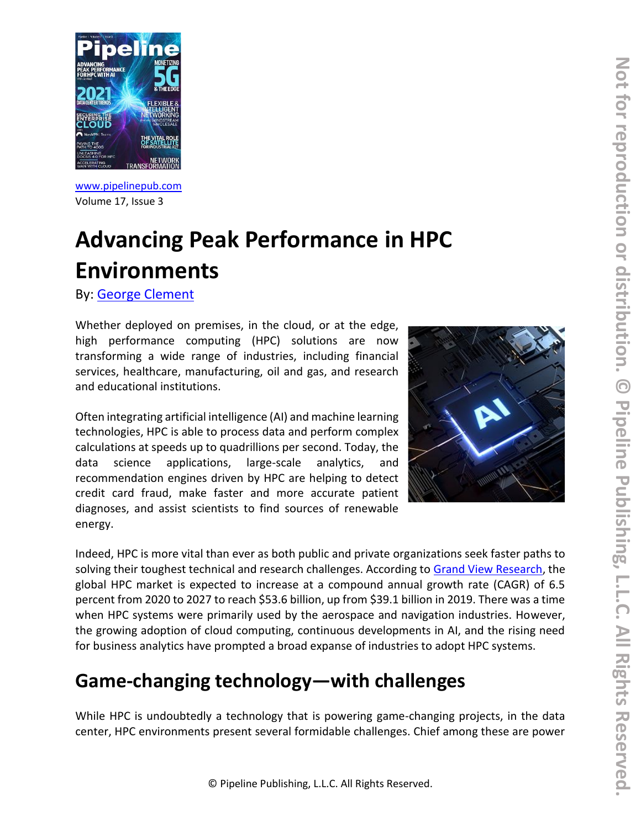

[www.pipelinepub.com](https://www.pipelinepub.com/237) Volume 17, Issue 3

## **Advancing Peak Performance in HPC Environments**

By: [George Clement](https://pipeline.pubspoke.com/contributors?issue_preview=237#George-Clement)

Whether deployed on premises, in the cloud, or at the edge, high performance computing (HPC) solutions are now transforming a wide range of industries, including financial services, healthcare, manufacturing, oil and gas, and research and educational institutions.

Often integrating artificial intelligence (AI) and machine learning technologies, HPC is able to process data and perform complex calculations at speeds up to quadrillions per second. Today, the data science applications, large-scale analytics, and recommendation engines driven by HPC are helping to detect credit card fraud, make faster and more accurate patient diagnoses, and assist scientists to find sources of renewable energy.



Indeed, HPC is more vital than ever as both public and private organizations seek faster paths to solving their toughest technical and research challenges. According to [Grand View Research,](https://www.grandviewresearch.com/industry-analysis/high-performance-computing-market) the global HPC market is expected to increase at a compound annual growth rate (CAGR) of 6.5 percent from 2020 to 2027 to reach \$53.6 billion, up from \$39.1 billion in 2019. There was a time when HPC systems were primarily used by the aerospace and navigation industries. However, the growing adoption of cloud computing, continuous developments in AI, and the rising need for business analytics have prompted a broad expanse of industries to adopt HPC systems.

## **Game-changing technology—with challenges**

While HPC is undoubtedly a technology that is powering game-changing projects, in the data center, HPC environments present several formidable challenges. Chief among these are power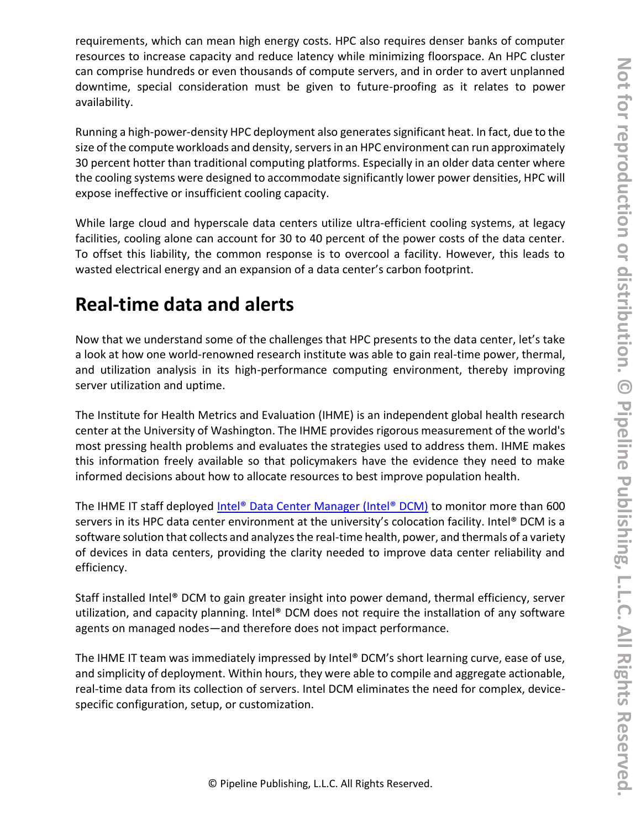requirements, which can mean high energy costs. HPC also requires denser banks of computer resources to increase capacity and reduce latency while minimizing floorspace. An HPC cluster can comprise hundreds or even thousands of compute servers, and in order to avert unplanned downtime, special consideration must be given to future-proofing as it relates to power availability.

Running a high-power-density HPC deployment also generates significant heat. In fact, due to the size of the compute workloads and density, servers in an HPC environment can run approximately 30 percent hotter than traditional computing platforms. Especially in an older data center where the cooling systems were designed to accommodate significantly lower power densities, HPC will expose ineffective or insufficient cooling capacity.

While large cloud and hyperscale data centers utilize ultra-efficient cooling systems, at legacy facilities, cooling alone can account for 30 to 40 percent of the power costs of the data center. To offset this liability, the common response is to overcool a facility. However, this leads to wasted electrical energy and an expansion of a data center's carbon footprint.

## **Real-time data and alerts**

Now that we understand some of the challenges that HPC presents to the data center, let's take a look at how one world-renowned research institute was able to gain real-time power, thermal, and utilization analysis in its high-performance computing environment, thereby improving server utilization and uptime.

The Institute for Health Metrics and Evaluation (IHME) is an independent global health research center at the University of Washington. The IHME provides rigorous measurement of the world's most pressing health problems and evaluates the strategies used to address them. IHME makes this information freely available so that policymakers have the evidence they need to make informed decisions about how to allocate resources to best improve population health.

The IHME IT staff deployed [Intel® Data Center Manager \(Intel® DCM\)](http://www.intel.com/dcm) to monitor more than 600 servers in its HPC data center environment at the university's colocation facility. Intel® DCM is a software solution that collects and analyzes the real-time health, power, and thermals of a variety of devices in data centers, providing the clarity needed to improve data center reliability and efficiency.

Staff installed Intel® DCM to gain greater insight into power demand, thermal efficiency, server utilization, and capacity planning. Intel® DCM does not require the installation of any software agents on managed nodes—and therefore does not impact performance.

The IHME IT team was immediately impressed by Intel® DCM's short learning curve, ease of use, and simplicity of deployment. Within hours, they were able to compile and aggregate actionable, real-time data from its collection of servers. Intel DCM eliminates the need for complex, devicespecific configuration, setup, or customization.